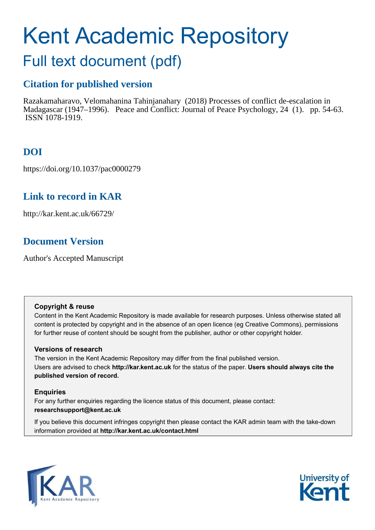# Kent Academic Repository

# Full text document (pdf)

# **Citation for published version**

Razakamaharavo, Velomahanina Tahinjanahary (2018) Processes of conflict de-escalation in Madagascar (1947–1996). Peace and Conflict: Journal of Peace Psychology, 24 (1). pp. 54-63. ISSN 1078-1919.

# **DOI**

https://doi.org/10.1037/pac0000279

# **Link to record in KAR**

http://kar.kent.ac.uk/66729/

# **Document Version**

Author's Accepted Manuscript

## **Copyright & reuse**

Content in the Kent Academic Repository is made available for research purposes. Unless otherwise stated all content is protected by copyright and in the absence of an open licence (eg Creative Commons), permissions for further reuse of content should be sought from the publisher, author or other copyright holder.

## **Versions of research**

The version in the Kent Academic Repository may differ from the final published version. Users are advised to check **http://kar.kent.ac.uk** for the status of the paper. **Users should always cite the published version of record.**

## **Enquiries**

For any further enquiries regarding the licence status of this document, please contact: **researchsupport@kent.ac.uk**

If you believe this document infringes copyright then please contact the KAR admin team with the take-down information provided at **http://kar.kent.ac.uk/contact.html**



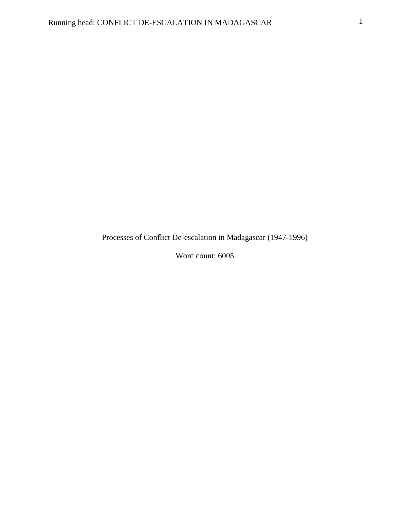Processes of Conflict De-escalation in Madagascar (1947-1996)

Word count: 6005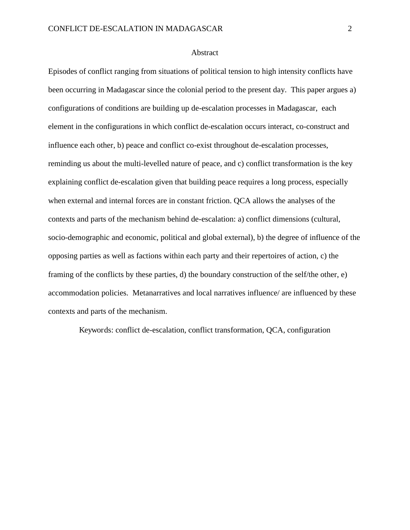#### Abstract

Episodes of conflict ranging from situations of political tension to high intensity conflicts have been occurring in Madagascar since the colonial period to the present day. This paper argues a) configurations of conditions are building up de-escalation processes in Madagascar, each element in the configurations in which conflict de-escalation occurs interact, co-construct and influence each other, b) peace and conflict co-exist throughout de-escalation processes, reminding us about the multi-levelled nature of peace, and c) conflict transformation is the key explaining conflict de-escalation given that building peace requires a long process, especially when external and internal forces are in constant friction. QCA allows the analyses of the contexts and parts of the mechanism behind de-escalation: a) conflict dimensions (cultural, socio-demographic and economic, political and global external), b) the degree of influence of the opposing parties as well as factions within each party and their repertoires of action, c) the framing of the conflicts by these parties, d) the boundary construction of the self/the other, e) accommodation policies. Metanarratives and local narratives influence/ are influenced by these contexts and parts of the mechanism.

Keywords: conflict de-escalation, conflict transformation, QCA, configuration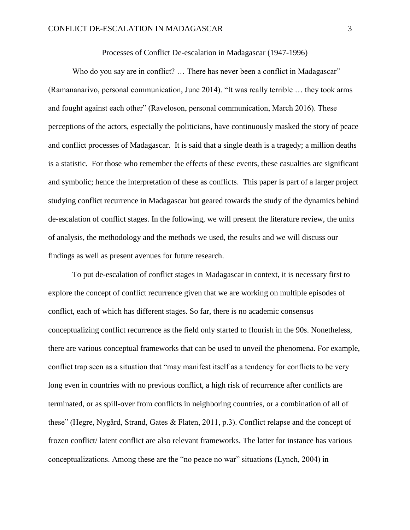Processes of Conflict De-escalation in Madagascar (1947-1996)

Who do you say are in conflict? ... There has never been a conflict in Madagascar" (Ramananarivo, personal communication, June 2014). "It was really terrible … they took arms and fought against each other" (Raveloson, personal communication, March 2016). These perceptions of the actors, especially the politicians, have continuously masked the story of peace and conflict processes of Madagascar. It is said that a single death is a tragedy; a million deaths is a statistic. For those who remember the effects of these events, these casualties are significant and symbolic; hence the interpretation of these as conflicts. This paper is part of a larger project studying conflict recurrence in Madagascar but geared towards the study of the dynamics behind de-escalation of conflict stages. In the following, we will present the literature review, the units of analysis, the methodology and the methods we used, the results and we will discuss our findings as well as present avenues for future research.

To put de-escalation of conflict stages in Madagascar in context, it is necessary first to explore the concept of conflict recurrence given that we are working on multiple episodes of conflict, each of which has different stages. So far, there is no academic consensus conceptualizing conflict recurrence as the field only started to flourish in the 90s. Nonetheless, there are various conceptual frameworks that can be used to unveil the phenomena. For example, conflict trap seen as a situation that "may manifest itself as a tendency for conflicts to be very long even in countries with no previous conflict, a high risk of recurrence after conflicts are terminated, or as spill-over from conflicts in neighboring countries, or a combination of all of these" (Hegre, Nygård, Strand, Gates & Flaten, 2011, p.3). Conflict relapse and the concept of frozen conflict/ latent conflict are also relevant frameworks. The latter for instance has various conceptualizations. Among these are the "no peace no war" situations (Lynch, 2004) in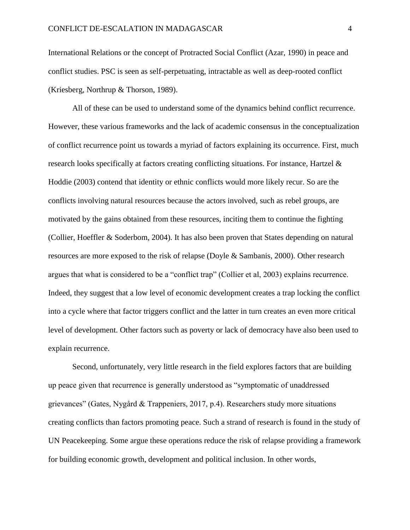International Relations or the concept of Protracted Social Conflict (Azar, 1990) in peace and conflict studies. PSC is seen as self-perpetuating, intractable as well as deep-rooted conflict (Kriesberg, Northrup & Thorson, 1989).

All of these can be used to understand some of the dynamics behind conflict recurrence. However, these various frameworks and the lack of academic consensus in the conceptualization of conflict recurrence point us towards a myriad of factors explaining its occurrence. First, much research looks specifically at factors creating conflicting situations. For instance, Hartzel & Hoddie (2003) contend that identity or ethnic conflicts would more likely recur. So are the conflicts involving natural resources because the actors involved, such as rebel groups, are motivated by the gains obtained from these resources, inciting them to continue the fighting (Collier, Hoeffler & Soderbom, 2004). It has also been proven that States depending on natural resources are more exposed to the risk of relapse (Doyle & Sambanis, 2000). Other research argues that what is considered to be a "conflict trap" (Collier et al, 2003) explains recurrence. Indeed, they suggest that a low level of economic development creates a trap locking the conflict into a cycle where that factor triggers conflict and the latter in turn creates an even more critical level of development. Other factors such as poverty or lack of democracy have also been used to explain recurrence.

Second, unfortunately, very little research in the field explores factors that are building up peace given that recurrence is generally understood as "symptomatic of unaddressed grievances" (Gates, Nygård & Trappeniers, 2017, p.4). Researchers study more situations creating conflicts than factors promoting peace. Such a strand of research is found in the study of UN Peacekeeping. Some argue these operations reduce the risk of relapse providing a framework for building economic growth, development and political inclusion. In other words,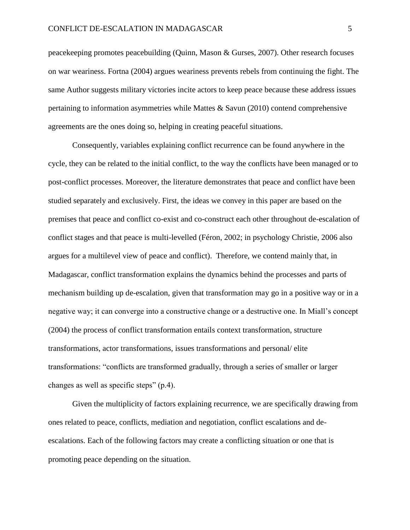peacekeeping promotes peacebuilding (Quinn, Mason & Gurses, 2007). Other research focuses on war weariness. Fortna (2004) argues weariness prevents rebels from continuing the fight. The same Author suggests military victories incite actors to keep peace because these address issues pertaining to information asymmetries while Mattes & Savun (2010) contend comprehensive agreements are the ones doing so, helping in creating peaceful situations.

Consequently, variables explaining conflict recurrence can be found anywhere in the cycle, they can be related to the initial conflict, to the way the conflicts have been managed or to post-conflict processes. Moreover, the literature demonstrates that peace and conflict have been studied separately and exclusively. First, the ideas we convey in this paper are based on the premises that peace and conflict co-exist and co-construct each other throughout de-escalation of conflict stages and that peace is multi-levelled (Féron, 2002; in psychology Christie, 2006 also argues for a multilevel view of peace and conflict). Therefore, we contend mainly that, in Madagascar, conflict transformation explains the dynamics behind the processes and parts of mechanism building up de-escalation, given that transformation may go in a positive way or in a negative way; it can converge into a constructive change or a destructive one. In Miall's concept (2004) the process of conflict transformation entails context transformation, structure transformations, actor transformations, issues transformations and personal/ elite transformations: "conflicts are transformed gradually, through a series of smaller or larger changes as well as specific steps" (p.4).

Given the multiplicity of factors explaining recurrence, we are specifically drawing from ones related to peace, conflicts, mediation and negotiation, conflict escalations and deescalations. Each of the following factors may create a conflicting situation or one that is promoting peace depending on the situation.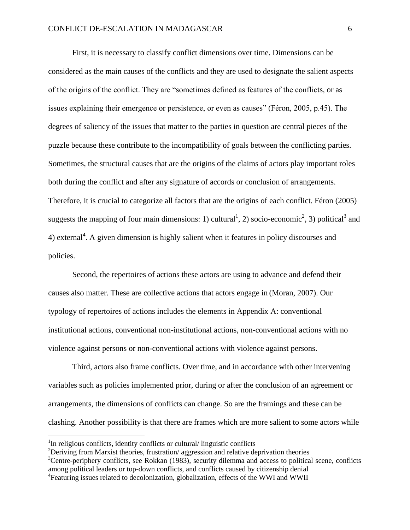First, it is necessary to classify conflict dimensions over time. Dimensions can be considered as the main causes of the conflicts and they are used to designate the salient aspects of the origins of the conflict. They are "sometimes defined as features of the conflicts, or as issues explaining their emergence or persistence, or even as causes" (Féron, 2005, p.45). The degrees of saliency of the issues that matter to the parties in question are central pieces of the puzzle because these contribute to the incompatibility of goals between the conflicting parties. Sometimes, the structural causes that are the origins of the claims of actors play important roles both during the conflict and after any signature of accords or conclusion of arrangements. Therefore, it is crucial to categorize all factors that are the origins of each conflict. Féron (2005) suggests the mapping of four main dimensions: 1) cultural<sup>1</sup>, 2) socio-economic<sup>2</sup>, 3) political<sup>3</sup> and 4) external<sup>4</sup>. A given dimension is highly salient when it features in policy discourses and policies.

Second, the repertoires of actions these actors are using to advance and defend their causes also matter. These are collective actions that actors engage in (Moran, 2007). Our typology of repertoires of actions includes the elements in Appendix A: conventional institutional actions, conventional non-institutional actions, non-conventional actions with no violence against persons or non-conventional actions with violence against persons.

Third, actors also frame conflicts. Over time, and in accordance with other intervening variables such as policies implemented prior, during or after the conclusion of an agreement or arrangements, the dimensions of conflicts can change. So are the framings and these can be clashing. Another possibility is that there are frames which are more salient to some actors while

<sup>&</sup>lt;sup>1</sup>In religious conflicts, identity conflicts or cultural/ linguistic conflicts

 $2$ Deriving from Marxist theories, frustration/ aggression and relative deprivation theories

 $3$ Centre-periphery conflicts, see Rokkan (1983), security dilemma and access to political scene, conflicts among political leaders or top-down conflicts, and conflicts caused by citizenship denial

<sup>&</sup>lt;sup>4</sup> Featuring issues related to decolonization, globalization, effects of the WWI and WWII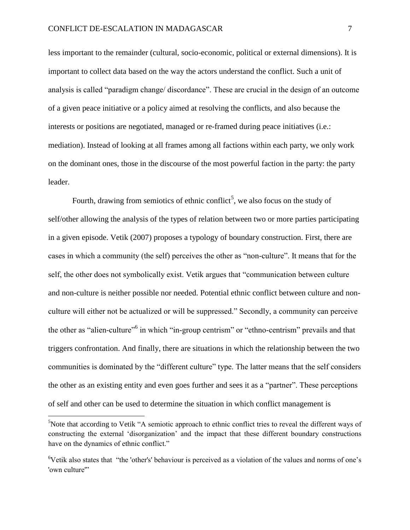less important to the remainder (cultural, socio-economic, political or external dimensions). It is important to collect data based on the way the actors understand the conflict. Such a unit of analysis is called "paradigm change/ discordance". These are crucial in the design of an outcome of a given peace initiative or a policy aimed at resolving the conflicts, and also because the interests or positions are negotiated, managed or re-framed during peace initiatives (i.e.: mediation). Instead of looking at all frames among all factions within each party, we only work on the dominant ones, those in the discourse of the most powerful faction in the party: the party leader.

Fourth, drawing from semiotics of ethnic conflict<sup>5</sup>, we also focus on the study of self/other allowing the analysis of the types of relation between two or more parties participating in a given episode. Vetik (2007) proposes a typology of boundary construction. First, there are cases in which a community (the self) perceives the other as "non-culture". It means that for the self, the other does not symbolically exist. Vetik argues that "communication between culture and non-culture is neither possible nor needed. Potential ethnic conflict between culture and nonculture will either not be actualized or will be suppressed." Secondly, a community can perceive the other as "alien-culture"<sup>6</sup> in which "in-group centrism" or "ethno-centrism" prevails and that triggers confrontation. And finally, there are situations in which the relationship between the two communities is dominated by the "different culture" type. The latter means that the self considers the other as an existing entity and even goes further and sees it as a "partner". These perceptions of self and other can be used to determine the situation in which conflict management is

<sup>&</sup>lt;sup>5</sup>Note that according to Vetik "A semiotic approach to ethnic conflict tries to reveal the different ways of constructing the external 'disorganization' and the impact that these different boundary constructions have on the dynamics of ethnic conflict."

<sup>&</sup>lt;sup>6</sup>Vetik also states that "the 'other's' behaviour is perceived as a violation of the values and norms of one's 'own culture"'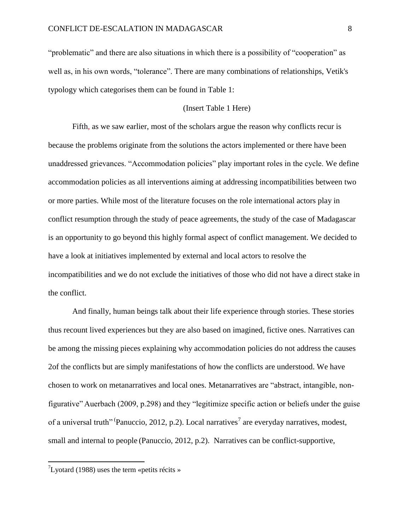"problematic" and there are also situations in which there is a possibility of "cooperation" as well as, in his own words, "tolerance". There are many combinations of relationships, Vetik's typology which categorises them can be found in Table 1:

#### (Insert Table 1 Here)

Fifth, as we saw earlier, most of the scholars argue the reason why conflicts recur is because the problems originate from the solutions the actors implemented or there have been unaddressed grievances. "Accommodation policies" play important roles in the cycle. We define accommodation policies as all interventions aiming at addressing incompatibilities between two or more parties. While most of the literature focuses on the role international actors play in conflict resumption through the study of peace agreements, the study of the case of Madagascar is an opportunity to go beyond this highly formal aspect of conflict management. We decided to have a look at initiatives implemented by external and local actors to resolve the incompatibilities and we do not exclude the initiatives of those who did not have a direct stake in the conflict.

And finally, human beings talk about their life experience through stories. These stories thus recount lived experiences but they are also based on imagined, fictive ones. Narratives can be among the missing pieces explaining why accommodation policies do not address the causes 2of the conflicts but are simply manifestations of how the conflicts are understood. We have chosen to work on metanarratives and local ones. Metanarratives are "abstract, intangible, nonfigurative" Auerbach (2009, p.298) and they "legitimize specific action or beliefs under the guise of a universal truth" (Panuccio, 2012, p.2). Local narratives<sup>7</sup> are everyday narratives, modest, small and internal to people (Panuccio, 2012, p.2). Narratives can be conflict-supportive,

 $\mathrm{^{7}Lyotard}$  (1988) uses the term «petits récits »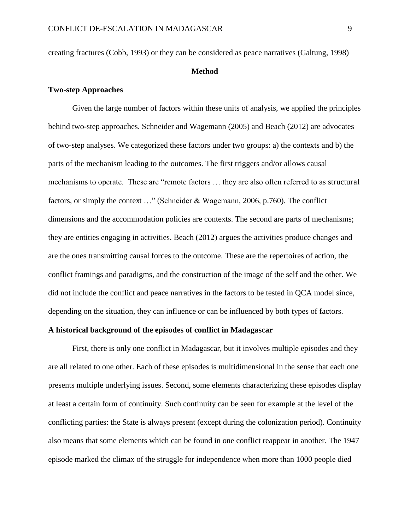creating fractures (Cobb, 1993) or they can be considered as peace narratives (Galtung, 1998)

#### **Method**

#### **Two-step Approaches**

Given the large number of factors within these units of analysis, we applied the principles behind two-step approaches. Schneider and Wagemann (2005) and Beach (2012) are advocates of two-step analyses. We categorized these factors under two groups: a) the contexts and b) the parts of the mechanism leading to the outcomes. The first triggers and/or allows causal mechanisms to operate. These are "remote factors … they are also often referred to as structural factors, or simply the context …" (Schneider & Wagemann, 2006, p.760). The conflict dimensions and the accommodation policies are contexts. The second are parts of mechanisms; they are entities engaging in activities. Beach (2012) argues the activities produce changes and are the ones transmitting causal forces to the outcome. These are the repertoires of action, the conflict framings and paradigms, and the construction of the image of the self and the other. We did not include the conflict and peace narratives in the factors to be tested in QCA model since, depending on the situation, they can influence or can be influenced by both types of factors.

#### **A historical background of the episodes of conflict in Madagascar**

First, there is only one conflict in Madagascar, but it involves multiple episodes and they are all related to one other. Each of these episodes is multidimensional in the sense that each one presents multiple underlying issues. Second, some elements characterizing these episodes display at least a certain form of continuity. Such continuity can be seen for example at the level of the conflicting parties: the State is always present (except during the colonization period). Continuity also means that some elements which can be found in one conflict reappear in another. The 1947 episode marked the climax of the struggle for independence when more than 1000 people died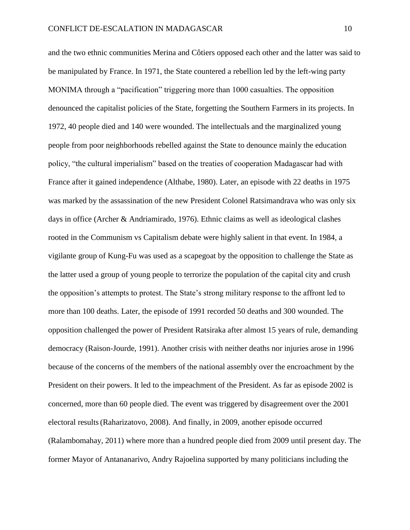and the two ethnic communities Merina and Côtiers opposed each other and the latter was said to be manipulated by France. In 1971, the State countered a rebellion led by the left-wing party MONIMA through a "pacification" triggering more than 1000 casualties. The opposition denounced the capitalist policies of the State, forgetting the Southern Farmers in its projects. In 1972, 40 people died and 140 were wounded. The intellectuals and the marginalized young people from poor neighborhoods rebelled against the State to denounce mainly the education policy, "the cultural imperialism" based on the treaties of cooperation Madagascar had with France after it gained independence (Althabe, 1980). Later, an episode with 22 deaths in 1975 was marked by the assassination of the new President Colonel Ratsimandrava who was only six days in office (Archer & Andriamirado, 1976). Ethnic claims as well as ideological clashes rooted in the Communism vs Capitalism debate were highly salient in that event. In 1984, a vigilante group of Kung-Fu was used as a scapegoat by the opposition to challenge the State as the latter used a group of young people to terrorize the population of the capital city and crush the opposition's attempts to protest. The State's strong military response to the affront led to more than 100 deaths. Later, the episode of 1991 recorded 50 deaths and 300 wounded. The opposition challenged the power of President Ratsiraka after almost 15 years of rule, demanding democracy (Raison-Jourde, 1991). Another crisis with neither deaths nor injuries arose in 1996 because of the concerns of the members of the national assembly over the encroachment by the President on their powers. It led to the impeachment of the President. As far as episode 2002 is concerned, more than 60 people died. The event was triggered by disagreement over the 2001 electoral results(Raharizatovo, 2008). And finally, in 2009, another episode occurred (Ralambomahay, 2011) where more than a hundred people died from 2009 until present day. The former Mayor of Antananarivo, Andry Rajoelina supported by many politicians including the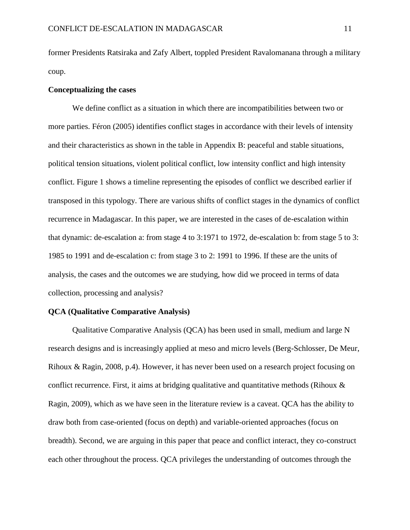former Presidents Ratsiraka and Zafy Albert, toppled President Ravalomanana through a military coup.

#### **Conceptualizing the cases**

We define conflict as a situation in which there are incompatibilities between two or more parties. Féron (2005) identifies conflict stages in accordance with their levels of intensity and their characteristics as shown in the table in Appendix B: peaceful and stable situations, political tension situations, violent political conflict, low intensity conflict and high intensity conflict. Figure 1 shows a timeline representing the episodes of conflict we described earlier if transposed in this typology. There are various shifts of conflict stages in the dynamics of conflict recurrence in Madagascar. In this paper, we are interested in the cases of de-escalation within that dynamic: de-escalation a: from stage 4 to 3:1971 to 1972, de-escalation b: from stage 5 to 3: 1985 to 1991 and de-escalation c: from stage 3 to 2: 1991 to 1996. If these are the units of analysis, the cases and the outcomes we are studying, how did we proceed in terms of data collection, processing and analysis?

#### **QCA (Qualitative Comparative Analysis)**

Qualitative Comparative Analysis (QCA) has been used in small, medium and large N research designs and is increasingly applied at meso and micro levels (Berg-Schlosser, De Meur, Rihoux & Ragin, 2008, p.4). However, it has never been used on a research project focusing on conflict recurrence. First, it aims at bridging qualitative and quantitative methods (Rihoux  $\&$ Ragin, 2009), which as we have seen in the literature review is a caveat. QCA has the ability to draw both from case-oriented (focus on depth) and variable-oriented approaches (focus on breadth). Second, we are arguing in this paper that peace and conflict interact, they co-construct each other throughout the process. QCA privileges the understanding of outcomes through the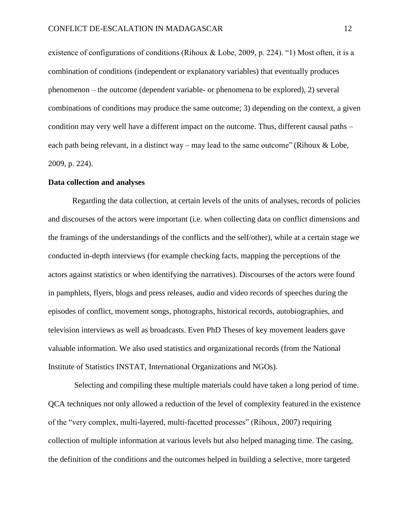existence of configurations of conditions (Rihoux & Lobe, 2009, p. 224). "1) Most often, it is a combination of conditions (independent or explanatory variables) that eventually produces phenomenon – the outcome (dependent variable- or phenomena to be explored), 2) several combinations of conditions may produce the same outcome; 3) depending on the context, a given condition may very well have a different impact on the outcome. Thus, different causal paths – each path being relevant, in a distinct way – may lead to the same outcome" (Rihoux  $\&$  Lobe, 2009, p. 224).

#### **Data collection and analyses**

Regarding the data collection, at certain levels of the units of analyses, records of policies and discourses of the actors were important (i.e. when collecting data on conflict dimensions and the framings of the understandings of the conflicts and the self/other), while at a certain stage we conducted in-depth interviews (for example checking facts, mapping the perceptions of the actors against statistics or when identifying the narratives). Discourses of the actors were found in pamphlets, flyers, blogs and press releases, audio and video records of speeches during the episodes of conflict, movement songs, photographs, historical records, autobiographies, and television interviews as well as broadcasts. Even PhD Theses of key movement leaders gave valuable information. We also used statistics and organizational records (from the National Institute of Statistics INSTAT, International Organizations and NGOs).

 Selecting and compiling these multiple materials could have taken a long period of time. QCA techniques not only allowed a reduction of the level of complexity featured in the existence of the "very complex, multi-layered, multi-facetted processes" (Rihoux, 2007) requiring collection of multiple information at various levels but also helped managing time. The casing, the definition of the conditions and the outcomes helped in building a selective, more targeted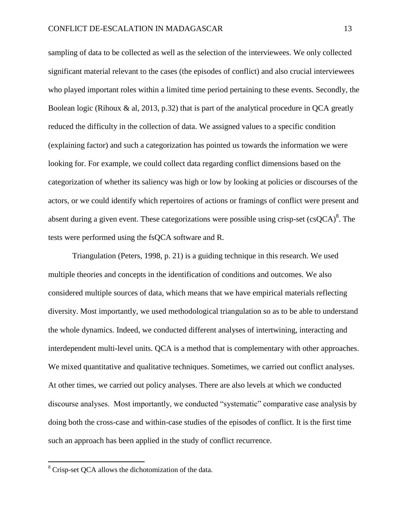sampling of data to be collected as well as the selection of the interviewees. We only collected significant material relevant to the cases (the episodes of conflict) and also crucial interviewees who played important roles within a limited time period pertaining to these events. Secondly, the Boolean logic (Rihoux & al, 2013, p.32) that is part of the analytical procedure in QCA greatly reduced the difficulty in the collection of data. We assigned values to a specific condition (explaining factor) and such a categorization has pointed us towards the information we were looking for. For example, we could collect data regarding conflict dimensions based on the categorization of whether its saliency was high or low by looking at policies or discourses of the actors, or we could identify which repertoires of actions or framings of conflict were present and absent during a given event. These categorizations were possible using crisp-set  $(csQCA)^8$ . The tests were performed using the fsQCA software and R.

Triangulation (Peters, 1998, p. 21) is a guiding technique in this research. We used multiple theories and concepts in the identification of conditions and outcomes. We also considered multiple sources of data, which means that we have empirical materials reflecting diversity. Most importantly, we used methodological triangulation so as to be able to understand the whole dynamics. Indeed, we conducted different analyses of intertwining, interacting and interdependent multi-level units. QCA is a method that is complementary with other approaches. We mixed quantitative and qualitative techniques. Sometimes, we carried out conflict analyses. At other times, we carried out policy analyses. There are also levels at which we conducted discourse analyses. Most importantly, we conducted "systematic" comparative case analysis by doing both the cross-case and within-case studies of the episodes of conflict. It is the first time such an approach has been applied in the study of conflict recurrence.

<sup>&</sup>lt;sup>8</sup> Crisp-set QCA allows the dichotomization of the data.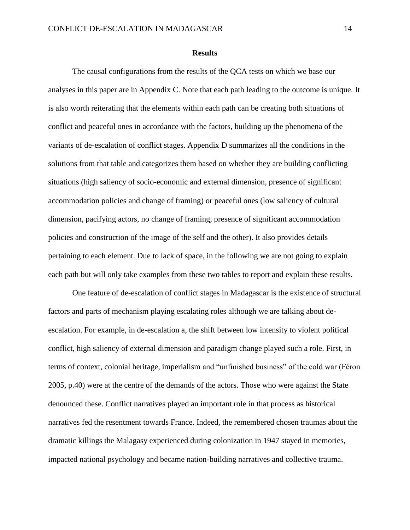#### **Results**

The causal configurations from the results of the QCA tests on which we base our analyses in this paper are in Appendix C. Note that each path leading to the outcome is unique. It is also worth reiterating that the elements within each path can be creating both situations of conflict and peaceful ones in accordance with the factors, building up the phenomena of the variants of de-escalation of conflict stages. Appendix D summarizes all the conditions in the solutions from that table and categorizes them based on whether they are building conflicting situations (high saliency of socio-economic and external dimension, presence of significant accommodation policies and change of framing) or peaceful ones (low saliency of cultural dimension, pacifying actors, no change of framing, presence of significant accommodation policies and construction of the image of the self and the other). It also provides details pertaining to each element. Due to lack of space, in the following we are not going to explain each path but will only take examples from these two tables to report and explain these results.

One feature of de-escalation of conflict stages in Madagascar is the existence of structural factors and parts of mechanism playing escalating roles although we are talking about deescalation. For example, in de-escalation a, the shift between low intensity to violent political conflict, high saliency of external dimension and paradigm change played such a role. First, in terms of context, colonial heritage, imperialism and "unfinished business" of the cold war (Féron 2005, p.40) were at the centre of the demands of the actors. Those who were against the State denounced these. Conflict narratives played an important role in that process as historical narratives fed the resentment towards France. Indeed, the remembered chosen traumas about the dramatic killings the Malagasy experienced during colonization in 1947 stayed in memories, impacted national psychology and became nation-building narratives and collective trauma.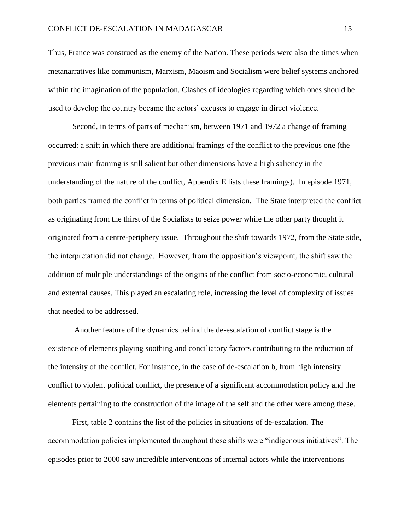Thus, France was construed as the enemy of the Nation. These periods were also the times when metanarratives like communism, Marxism, Maoism and Socialism were belief systems anchored within the imagination of the population. Clashes of ideologies regarding which ones should be used to develop the country became the actors' excuses to engage in direct violence.

Second, in terms of parts of mechanism, between 1971 and 1972 a change of framing occurred: a shift in which there are additional framings of the conflict to the previous one (the previous main framing is still salient but other dimensions have a high saliency in the understanding of the nature of the conflict, Appendix E lists these framings). In episode 1971, both parties framed the conflict in terms of political dimension. The State interpreted the conflict as originating from the thirst of the Socialists to seize power while the other party thought it originated from a centre-periphery issue. Throughout the shift towards 1972, from the State side, the interpretation did not change. However, from the opposition's viewpoint, the shift saw the addition of multiple understandings of the origins of the conflict from socio-economic, cultural and external causes. This played an escalating role, increasing the level of complexity of issues that needed to be addressed.

 Another feature of the dynamics behind the de-escalation of conflict stage is the existence of elements playing soothing and conciliatory factors contributing to the reduction of the intensity of the conflict. For instance, in the case of de-escalation b, from high intensity conflict to violent political conflict, the presence of a significant accommodation policy and the elements pertaining to the construction of the image of the self and the other were among these.

First, table 2 contains the list of the policies in situations of de-escalation. The accommodation policies implemented throughout these shifts were "indigenous initiatives". The episodes prior to 2000 saw incredible interventions of internal actors while the interventions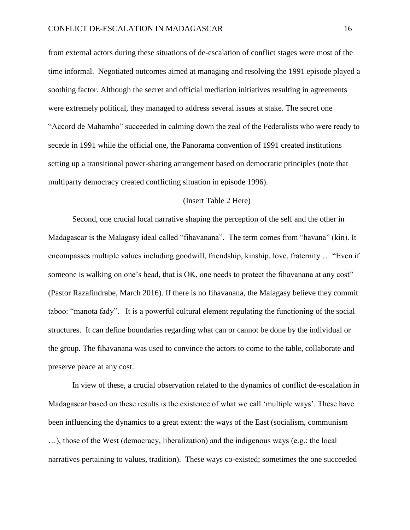from external actors during these situations of de-escalation of conflict stages were most of the time informal. Negotiated outcomes aimed at managing and resolving the 1991 episode played a soothing factor. Although the secret and official mediation initiatives resulting in agreements were extremely political, they managed to address several issues at stake. The secret one "Accord de Mahambo" succeeded in calming down the zeal of the Federalists who were ready to secede in 1991 while the official one, the Panorama convention of 1991 created institutions setting up a transitional power-sharing arrangement based on democratic principles (note that multiparty democracy created conflicting situation in episode 1996).

#### (Insert Table 2 Here)

Second, one crucial local narrative shaping the perception of the self and the other in Madagascar is the Malagasy ideal called "fihavanana". The term comes from "havana" (kin). It encompasses multiple values including goodwill, friendship, kinship, love, fraternity … "Even if someone is walking on one's head, that is OK, one needs to protect the fihavanana at any cost" (Pastor Razafindrabe, March 2016). If there is no fihavanana, the Malagasy believe they commit taboo: "manota fady". It is a powerful cultural element regulating the functioning of the social structures. It can define boundaries regarding what can or cannot be done by the individual or the group. The fihavanana was used to convince the actors to come to the table, collaborate and preserve peace at any cost.

In view of these, a crucial observation related to the dynamics of conflict de-escalation in Madagascar based on these results is the existence of what we call 'multiple ways'. These have been influencing the dynamics to a great extent: the ways of the East (socialism, communism …), those of the West (democracy, liberalization) and the indigenous ways (e.g.: the local narratives pertaining to values, tradition). These ways co-existed; sometimes the one succeeded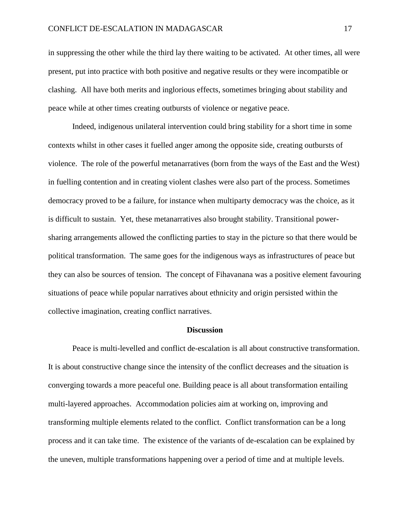in suppressing the other while the third lay there waiting to be activated. At other times, all were present, put into practice with both positive and negative results or they were incompatible or clashing. All have both merits and inglorious effects, sometimes bringing about stability and peace while at other times creating outbursts of violence or negative peace.

Indeed, indigenous unilateral intervention could bring stability for a short time in some contexts whilst in other cases it fuelled anger among the opposite side, creating outbursts of violence. The role of the powerful metanarratives (born from the ways of the East and the West) in fuelling contention and in creating violent clashes were also part of the process. Sometimes democracy proved to be a failure, for instance when multiparty democracy was the choice, as it is difficult to sustain. Yet, these metanarratives also brought stability. Transitional powersharing arrangements allowed the conflicting parties to stay in the picture so that there would be political transformation. The same goes for the indigenous ways as infrastructures of peace but they can also be sources of tension. The concept of Fihavanana was a positive element favouring situations of peace while popular narratives about ethnicity and origin persisted within the collective imagination, creating conflict narratives.

#### **Discussion**

Peace is multi-levelled and conflict de-escalation is all about constructive transformation. It is about constructive change since the intensity of the conflict decreases and the situation is converging towards a more peaceful one. Building peace is all about transformation entailing multi-layered approaches. Accommodation policies aim at working on, improving and transforming multiple elements related to the conflict. Conflict transformation can be a long process and it can take time. The existence of the variants of de-escalation can be explained by the uneven, multiple transformations happening over a period of time and at multiple levels.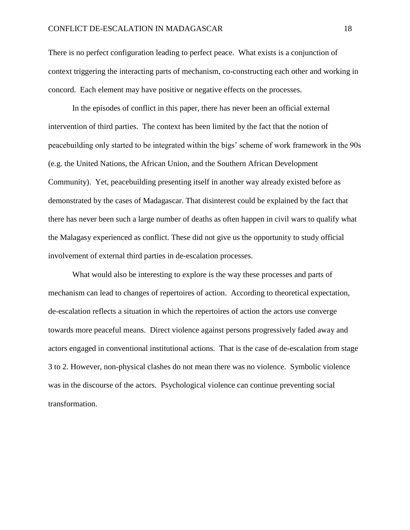There is no perfect configuration leading to perfect peace. What exists is a conjunction of context triggering the interacting parts of mechanism, co-constructing each other and working in concord. Each element may have positive or negative effects on the processes.

In the episodes of conflict in this paper, there has never been an official external intervention of third parties. The context has been limited by the fact that the notion of peacebuilding only started to be integrated within the bigs' scheme of work framework in the 90s (e.g. the United Nations, the African Union, and the Southern African Development Community). Yet, peacebuilding presenting itself in another way already existed before as demonstrated by the cases of Madagascar. That disinterest could be explained by the fact that there has never been such a large number of deaths as often happen in civil wars to qualify what the Malagasy experienced as conflict. These did not give us the opportunity to study official involvement of external third parties in de-escalation processes.

What would also be interesting to explore is the way these processes and parts of mechanism can lead to changes of repertoires of action. According to theoretical expectation, de-escalation reflects a situation in which the repertoires of action the actors use converge towards more peaceful means. Direct violence against persons progressively faded away and actors engaged in conventional institutional actions. That is the case of de-escalation from stage 3 to 2. However, non-physical clashes do not mean there was no violence. Symbolic violence was in the discourse of the actors. Psychological violence can continue preventing social transformation.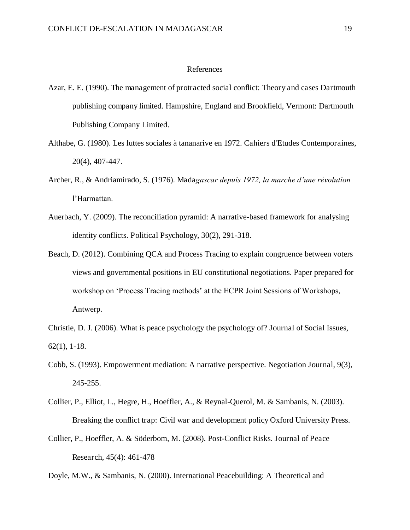#### References

- Azar, E. E. (1990). The management of protracted social conflict: Theory and cases Dartmouth publishing company limited. Hampshire, England and Brookfield, Vermont: Dartmouth Publishing Company Limited.
- Althabe, G. (1980). Les luttes sociales à tananarive en 1972. Cahiers d'Etudes Contemporaines, 20(4), 407-447.
- Archer, R., & Andriamirado, S. (1976). Mada*gascar depuis 1972, la marche d'une révolution* l'Harmattan.
- Auerbach, Y. (2009). The reconciliation pyramid: A narrative-based framework for analysing identity conflicts. Political Psychology, 30(2), 291-318.
- Beach, D. (2012). Combining QCA and Process Tracing to explain congruence between voters views and governmental positions in EU constitutional negotiations. Paper prepared for workshop on 'Process Tracing methods' at the ECPR Joint Sessions of Workshops, Antwerp.
- Christie, D. J. (2006). What is peace psychology the psychology of? Journal of Social Issues, 62(1), 1-18.
- Cobb, S. (1993). Empowerment mediation: A narrative perspective. Negotiation Journal, 9(3), 245-255.
- Collier, P., Elliot, L., Hegre, H., Hoeffler, A., & Reynal-Querol, M. & Sambanis, N. (2003). Breaking the conflict trap: Civil war and development policy Oxford University Press.
- Collier, P., Hoeffler, A. & Söderbom, M. (2008). Post-Conflict Risks. Journal of Peace Research, 45(4): 461-478

Doyle, M.W., & Sambanis, N. (2000). International Peacebuilding: A Theoretical and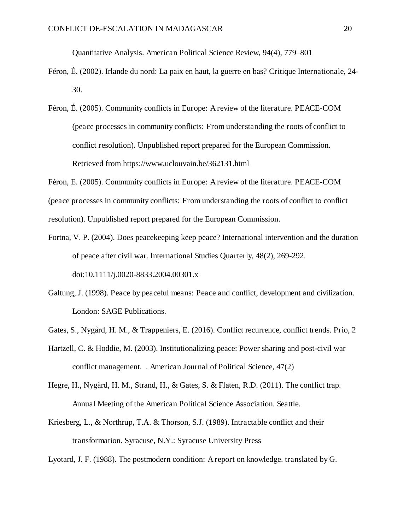Quantitative Analysis. American Political Science Review, 94(4), 779–801

- Féron, É. (2002). Irlande du nord: La paix en haut, la guerre en bas? Critique Internationale, 24- 30.
- Féron, É. (2005). Community conflicts in Europe: A review of the literature. PEACE-COM (peace processes in community conflicts: From understanding the roots of conflict to conflict resolution). Unpublished report prepared for the European Commission. Retrieved from https://www.uclouvain.be/362131.html

Féron, E. (2005). Community conflicts in Europe: A review of the literature. PEACE-COM (peace processes in community conflicts: From understanding the roots of conflict to conflict resolution). Unpublished report prepared for the European Commission.

- Fortna, V. P. (2004). Does peacekeeping keep peace? International intervention and the duration of peace after civil war. International Studies Quarterly, 48(2), 269-292. doi:10.1111/j.0020-8833.2004.00301.x
- Galtung, J. (1998). Peace by peaceful means: Peace and conflict, development and civilization. London: SAGE Publications.
- Gates, S., Nygård, H. M., & Trappeniers, E. (2016). Conflict recurrence, conflict trends. Prio, 2
- Hartzell, C. & Hoddie, M. (2003). Institutionalizing peace: Power sharing and post-civil war conflict management. . American Journal of Political Science, 47(2)
- Hegre, H., Nygård, H. M., Strand, H., & Gates, S. & Flaten, R.D. (2011). The conflict trap. Annual Meeting of the American Political Science Association. Seattle.
- Kriesberg, L., & Northrup, T.A. & Thorson, S.J. (1989). Intractable conflict and their transformation. Syracuse, N.Y.: Syracuse University Press

Lyotard, J. F. (1988). The postmodern condition: A report on knowledge. translated by G.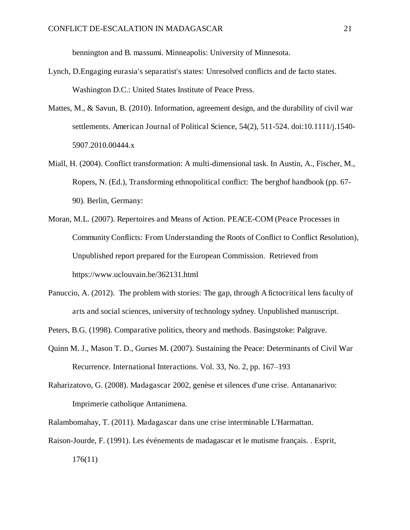bennington and B. massumi. Minneapolis: University of Minnesota.

- Lynch, D.Engaging eurasia's separatist's states: Unresolved conflicts and de facto states. Washington D.C.: United States Institute of Peace Press.
- Mattes, M., & Savun, B. (2010). Information, agreement design, and the durability of civil war settlements. American Journal of Political Science, 54(2), 511-524. doi:10.1111/j.1540- 5907.2010.00444.x
- Miall, H. (2004). Conflict transformation: A multi-dimensional task. In Austin, A., Fischer, M., Ropers, N. (Ed.), Transforming ethnopolitical conflict: The berghof handbook (pp. 67- 90). Berlin, Germany:
- Moran, M.L. (2007). Repertoires and Means of Action. PEACE-COM (Peace Processes in Community Conflicts: From Understanding the Roots of Conflict to Conflict Resolution), Unpublished report prepared for the European Commission. Retrieved from https://www.uclouvain.be/362131.html
- Panuccio, A. (2012). The problem with stories: The gap, through A fictocritical lens faculty of arts and social sciences, university of technology sydney. Unpublished manuscript.
- Peters, B.G. (1998). Comparative politics, theory and methods. Basingstoke: Palgrave.
- Quinn M. J., Mason T. D., Gurses M. (2007). Sustaining the Peace: Determinants of Civil War Recurrence. International Interactions. Vol. 33, No. 2, pp. 167–193
- Raharizatovo, G. (2008). Madagascar 2002, genèse et silences d'une crise. Antananarivo: Imprimerie catholique Antanimena.
- Ralambomahay, T. (2011). Madagascar dans une crise interminable L'Harmattan.
- Raison-Jourde, F. (1991). Les événements de madagascar et le mutisme français. . Esprit, 176(11)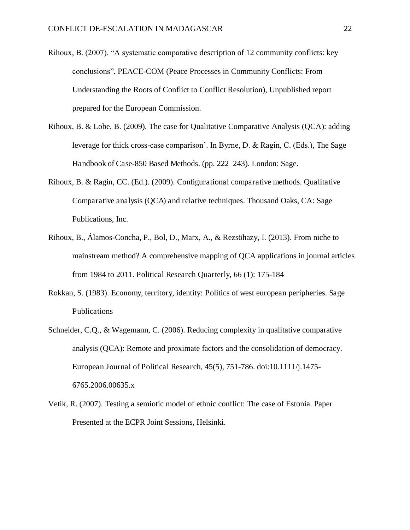- Rihoux, B. (2007). "A systematic comparative description of 12 community conflicts: key conclusions", PEACE-COM (Peace Processes in Community Conflicts: From Understanding the Roots of Conflict to Conflict Resolution), Unpublished report prepared for the European Commission.
- Rihoux, B. & Lobe, B. (2009). The case for Qualitative Comparative Analysis (QCA): adding leverage for thick cross-case comparison'. In Byrne, D. & Ragin, C. (Eds.), The Sage Handbook of Case-850 Based Methods. (pp. 222–243). London: Sage.
- Rihoux, B. & Ragin, CC. (Ed.). (2009). Configurational comparative methods. Qualitative Comparative analysis (QCA) and relative techniques. Thousand Oaks, CA: Sage Publications, Inc.
- Rihoux, B., Álamos-Concha, P., Bol, D., Marx, A., & Rezsöhazy, I. (2013). From niche to mainstream method? A comprehensive mapping of QCA applications in journal articles from 1984 to 2011. Political Research Quarterly, 66 (1): 175-184
- Rokkan, S. (1983). Economy, territory, identity: Politics of west european peripheries. Sage Publications
- Schneider, C.Q., & Wagemann, C. (2006). Reducing complexity in qualitative comparative analysis (QCA): Remote and proximate factors and the consolidation of democracy. European Journal of Political Research, 45(5), 751-786. doi:10.1111/j.1475- 6765.2006.00635.x
- Vetik, R. (2007). Testing a semiotic model of ethnic conflict: The case of Estonia. Paper Presented at the ECPR Joint Sessions, Helsinki.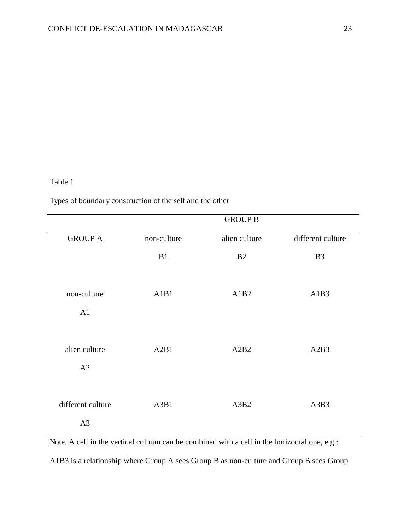#### Table 1

Types of boundary construction of the self and the other

|                         |             | <b>GROUP B</b> |                   |
|-------------------------|-------------|----------------|-------------------|
| <b>GROUP A</b>          | non-culture | alien culture  | different culture |
|                         | B1          | B2             | B <sub>3</sub>    |
| non-culture<br>A1       | A1B1        | A1B2           | A1B3              |
| alien culture<br>A2     | A2B1        | A2B2           | A2B3              |
| different culture<br>A3 | A3B1        | A3B2           | A3B3              |

Note. A cell in the vertical column can be combined with a cell in the horizontal one, e.g.:

A1B3 is a relationship where Group A sees Group B as non-culture and Group B sees Group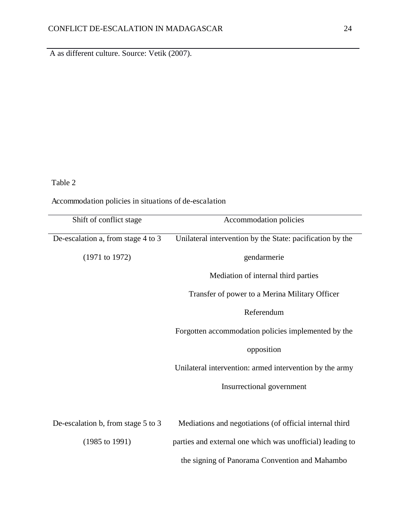A as different culture. Source: Vetik (2007).

## Table 2

Accommodation policies in situations of de-escalation

| Shift of conflict stage            | Accommodation policies                                    |
|------------------------------------|-----------------------------------------------------------|
| De-escalation a, from stage 4 to 3 | Unilateral intervention by the State: pacification by the |
| (1971 to 1972)                     | gendarmerie                                               |
|                                    | Mediation of internal third parties                       |
|                                    | Transfer of power to a Merina Military Officer            |
|                                    | Referendum                                                |
|                                    | Forgotten accommodation policies implemented by the       |
|                                    | opposition                                                |
|                                    | Unilateral intervention: armed intervention by the army   |
|                                    | Insurrectional government                                 |
|                                    |                                                           |
| De-escalation b, from stage 5 to 3 | Mediations and negotiations (of official internal third   |
| $(1985 \text{ to } 1991)$          | parties and external one which was unofficial) leading to |
|                                    | the signing of Panorama Convention and Mahambo            |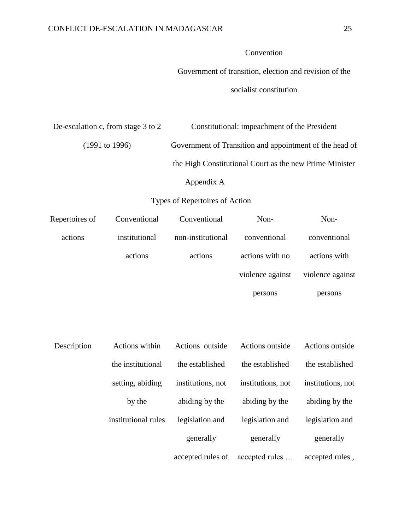## Convention

Government of transition, election and revision of the

socialist constitution

| De-escalation c, from stage 3 to 2 | Constitutional: impeachment of the President            |
|------------------------------------|---------------------------------------------------------|
| $(1991 \text{ to } 1996)$          | Government of Transition and appointment of the head of |
|                                    | the High Constitutional Court as the new Prime Minister |
|                                    | Appendix A                                              |

## Types of Repertoires of Action

| Repertoires of | Conventional        | Conventional      | Non-              | Non-              |
|----------------|---------------------|-------------------|-------------------|-------------------|
| actions        | institutional       | non-institutional | conventional      | conventional      |
|                | actions             | actions           | actions with no   | actions with      |
|                |                     |                   | violence against  | violence against  |
|                |                     |                   | persons           | persons           |
|                |                     |                   |                   |                   |
|                |                     |                   |                   |                   |
| Description    | Actions within      | Actions outside   | Actions outside   | Actions outside   |
|                | the institutional   | the established   | the established   | the established   |
|                | setting, abiding    | institutions, not | institutions, not | institutions, not |
|                | by the              | abiding by the    | abiding by the    | abiding by the    |
|                | institutional rules | legislation and   | legislation and   | legislation and   |
|                |                     | generally         | generally         | generally         |
|                |                     | accepted rules of | accepted rules    | accepted rules,   |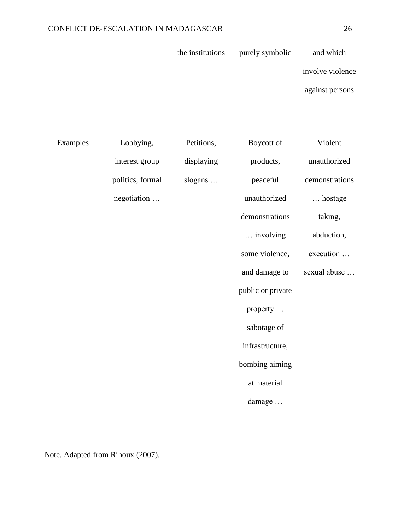| the institutions | purely symbolic | and which |
|------------------|-----------------|-----------|
|                  |                 |           |

involve violence

against persons

| Examples | Lobbying,        | Petitions, | Boycott of        | Violent        |
|----------|------------------|------------|-------------------|----------------|
|          | interest group   | displaying | products,         | unauthorized   |
|          | politics, formal | slogans    | peaceful          | demonstrations |
|          | negotiation      |            | unauthorized      | hostage        |
|          |                  |            | demonstrations    | taking,        |
|          |                  |            | involving         | abduction,     |
|          |                  |            | some violence,    | execution      |
|          |                  |            | and damage to     | sexual abuse   |
|          |                  |            | public or private |                |
|          |                  |            | property          |                |
|          |                  |            | sabotage of       |                |
|          |                  |            | infrastructure,   |                |
|          |                  |            | bombing aiming    |                |
|          |                  |            | at material       |                |
|          |                  |            | damage            |                |
|          |                  |            |                   |                |

Note. Adapted from Rihoux (2007).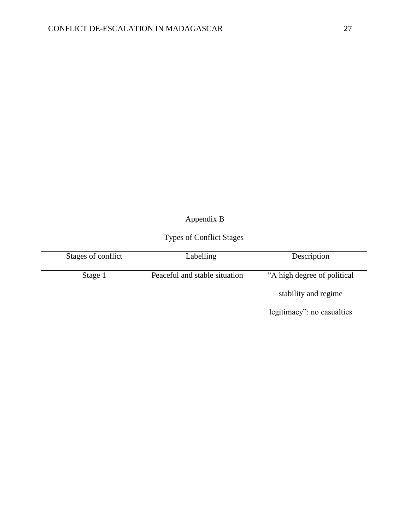# Appendix B

# Types of Conflict Stages

| Stages of conflict | Labelling                     | Description                  |
|--------------------|-------------------------------|------------------------------|
| Stage 1            | Peaceful and stable situation | "A high degree of political" |
|                    |                               | stability and regime         |
|                    |                               | legitimacy": no casualties   |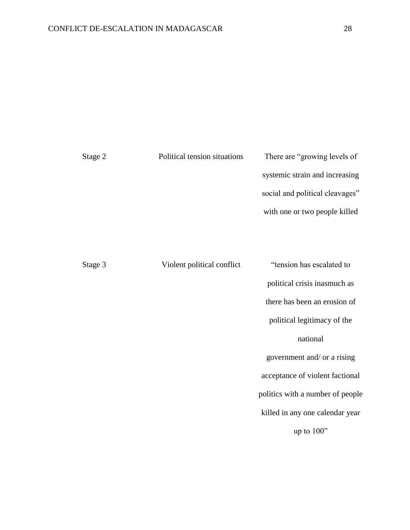| Stage 2 | Political tension situations | There are "growing levels of"   |  |
|---------|------------------------------|---------------------------------|--|
|         |                              | systemic strain and increasing  |  |
|         |                              | social and political cleavages" |  |
|         |                              | with one or two people killed   |  |
|         |                              |                                 |  |
|         |                              |                                 |  |

| Stage 3 | Violent political conflict | "tension has escalated to        |
|---------|----------------------------|----------------------------------|
|         |                            | political crisis inasmuch as     |
|         |                            | there has been an erosion of     |
|         |                            | political legitimacy of the      |
|         |                            | national                         |
|         |                            | government and/ or a rising      |
|         |                            | acceptance of violent factional  |
|         |                            | politics with a number of people |
|         |                            | killed in any one calendar year  |
|         |                            | up to $100"$                     |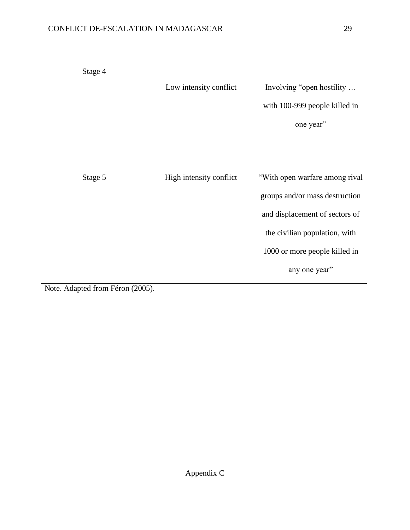| Stage 4                                                                                             |                         |                                |
|-----------------------------------------------------------------------------------------------------|-------------------------|--------------------------------|
|                                                                                                     | Low intensity conflict  | Involving "open hostility      |
|                                                                                                     |                         | with 100-999 people killed in  |
|                                                                                                     |                         | one year"                      |
|                                                                                                     |                         |                                |
|                                                                                                     |                         |                                |
| Stage 5                                                                                             | High intensity conflict | "With open warfare among rival |
|                                                                                                     |                         | groups and/or mass destruction |
|                                                                                                     |                         | and displacement of sectors of |
|                                                                                                     |                         | the civilian population, with  |
|                                                                                                     |                         | 1000 or more people killed in  |
|                                                                                                     |                         | any one year"                  |
| $\Lambda$ J. $\Lambda$ J. $\Lambda$ is $\Gamma$ $\Lambda$ is $\Lambda$ $\Lambda$ $\Lambda$ $\Gamma$ |                         |                                |

Note. Adapted from Féron (2005).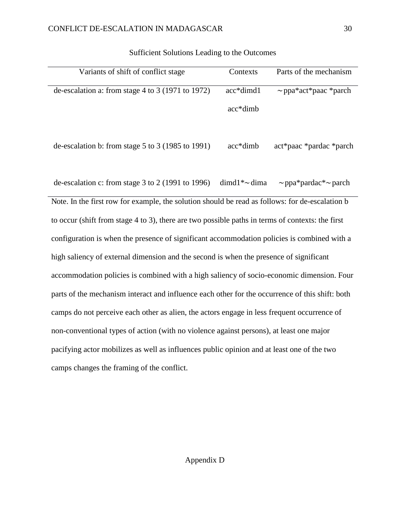| Variants of shift of conflict stage                                                              | Contexts            | Parts of the mechanism          |  |
|--------------------------------------------------------------------------------------------------|---------------------|---------------------------------|--|
| de-escalation a: from stage 4 to 3 (1971 to 1972)                                                | acc*dimd1           | $\sim$ ppa*act*paac *parch      |  |
|                                                                                                  | acc*dimb            |                                 |  |
| de-escalation b: from stage $5$ to $3$ (1985 to 1991)                                            | $acc*dimb$          | act*paac *pardac *parch         |  |
| de-escalation c: from stage $3$ to $2$ (1991 to 1996)                                            | $dimd1^* \sim dima$ | $\sim$ ppa*pardac* $\sim$ parch |  |
| Note. In the first row for example, the solution should be read as follows: for de-escalation b  |                     |                                 |  |
| to occur (shift from stage 4 to 3), there are two possible paths in terms of contexts: the first |                     |                                 |  |
| configuration is when the presence of significant accommodation policies is combined with a      |                     |                                 |  |
| high saliency of external dimension and the second is when the presence of significant           |                     |                                 |  |
| ecommodation policies is combined with a bigh soliency of socio-economic dimension. Four         |                     |                                 |  |

#### Sufficient Solutions Leading to the Outcomes

accommodation policies is combined with a high saliency of socio-economic dimension. Four parts of the mechanism interact and influence each other for the occurrence of this shift: both camps do not perceive each other as alien, the actors engage in less frequent occurrence of non-conventional types of action (with no violence against persons), at least one major pacifying actor mobilizes as well as influences public opinion and at least one of the two camps changes the framing of the conflict.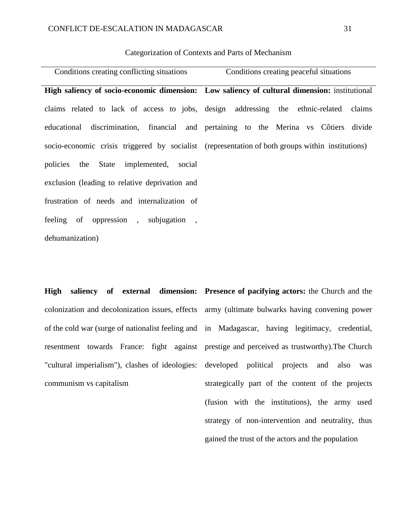#### Categorization of Contexts and Parts of Mechanism

| Conditions creating conflicting situations     | Conditions creating peaceful situations                                                          |  |  |  |
|------------------------------------------------|--------------------------------------------------------------------------------------------------|--|--|--|
|                                                | High saliency of socio-economic dimension: Low saliency of cultural dimension: institutional     |  |  |  |
|                                                | claims related to lack of access to jobs, design addressing the ethnic-related claims            |  |  |  |
|                                                | educational discrimination, financial and pertaining to the Merina vs Côtiers divide             |  |  |  |
|                                                | socio-economic crisis triggered by socialist (representation of both groups within institutions) |  |  |  |
| policies the State implemented, social         |                                                                                                  |  |  |  |
| exclusion (leading to relative deprivation and |                                                                                                  |  |  |  |
| frustration of needs and internalization of    |                                                                                                  |  |  |  |
| feeling of oppression, subjugation,            |                                                                                                  |  |  |  |
| dehumanization)                                |                                                                                                  |  |  |  |

**High saliency of external dimension: Presence of pacifying actors:** the Church and the communism vs capitalism

colonization and decolonization issues, effects army (ultimate bulwarks having convening power of the cold war (surge of nationalist feeling and in Madagascar, having legitimacy, credential, resentment towards France: fight against prestige and perceived as trustworthy).The Church "cultural imperialism"), clashes of ideologies: developed political projects and also was strategically part of the content of the projects (fusion with the institutions), the army used strategy of non-intervention and neutrality, thus gained the trust of the actors and the population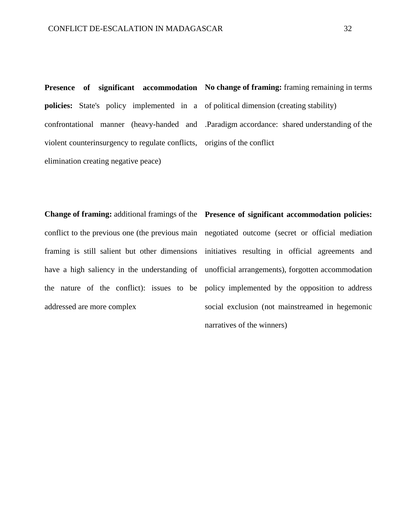**policies:** State's policy implemented in a of political dimension (creating stability) violent counterinsurgency to regulate conflicts, origins of the conflict elimination creating negative peace)

**Presence** of significant accommodation No change of framing: framing remaining in terms confrontational manner (heavy-handed and .Paradigm accordance: shared understanding of the

**Change of framing:** additional framings of the **Presence of significant accommodation policies:** have a high saliency in the understanding of the nature of the conflict): issues to be addressed are more complex

conflict to the previous one (the previous main negotiated outcome (secret or official mediation framing is still salient but other dimensions initiatives resulting in official agreements and unofficial arrangements), forgotten accommodation policy implemented by the opposition to address social exclusion (not mainstreamed in hegemonic narratives of the winners)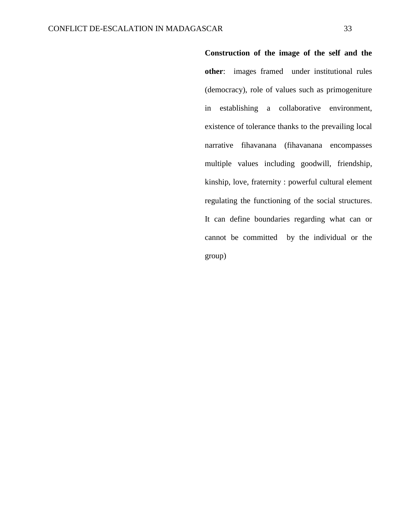**Construction of the image of the self and the other**: images framed under institutional rules (democracy), role of values such as primogeniture in establishing a collaborative environment, existence of tolerance thanks to the prevailing local narrative fihavanana (fihavanana encompasses multiple values including goodwill, friendship, kinship, love, fraternity : powerful cultural element regulating the functioning of the social structures. It can define boundaries regarding what can or cannot be committed by the individual or the group)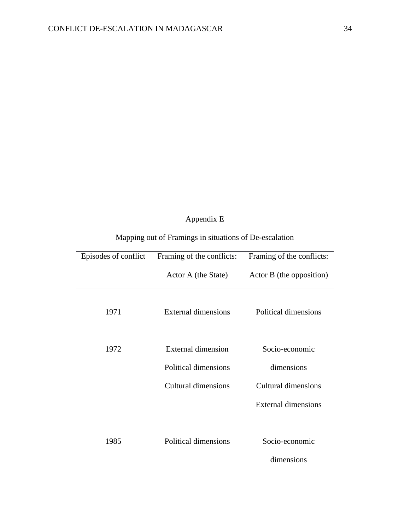# Appendix E

| Episodes of conflict | Framing of the conflicts: | Framing of the conflicts: |
|----------------------|---------------------------|---------------------------|
|                      | Actor A (the State)       | Actor B (the opposition)  |
| 1971                 | External dimensions       | Political dimensions      |
| 1972                 | <b>External dimension</b> | Socio-economic            |
|                      | Political dimensions      | dimensions                |
|                      | Cultural dimensions       | Cultural dimensions       |
|                      |                           | External dimensions       |
|                      |                           |                           |
| 1985                 | Political dimensions      | Socio-economic            |
|                      |                           | dimensions                |

# Mapping out of Framings in situations of De-escalation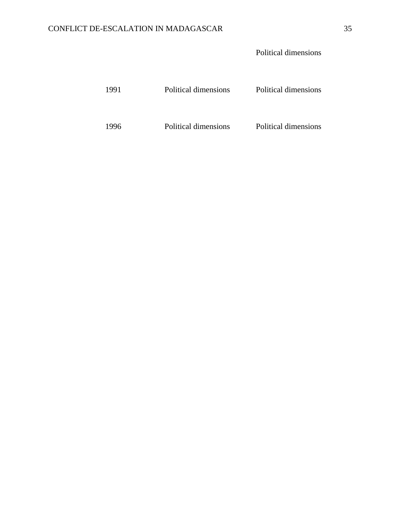## Political dimensions

| 1991 | Political dimensions | Political dimensions |
|------|----------------------|----------------------|
| 1996 | Political dimensions | Political dimensions |